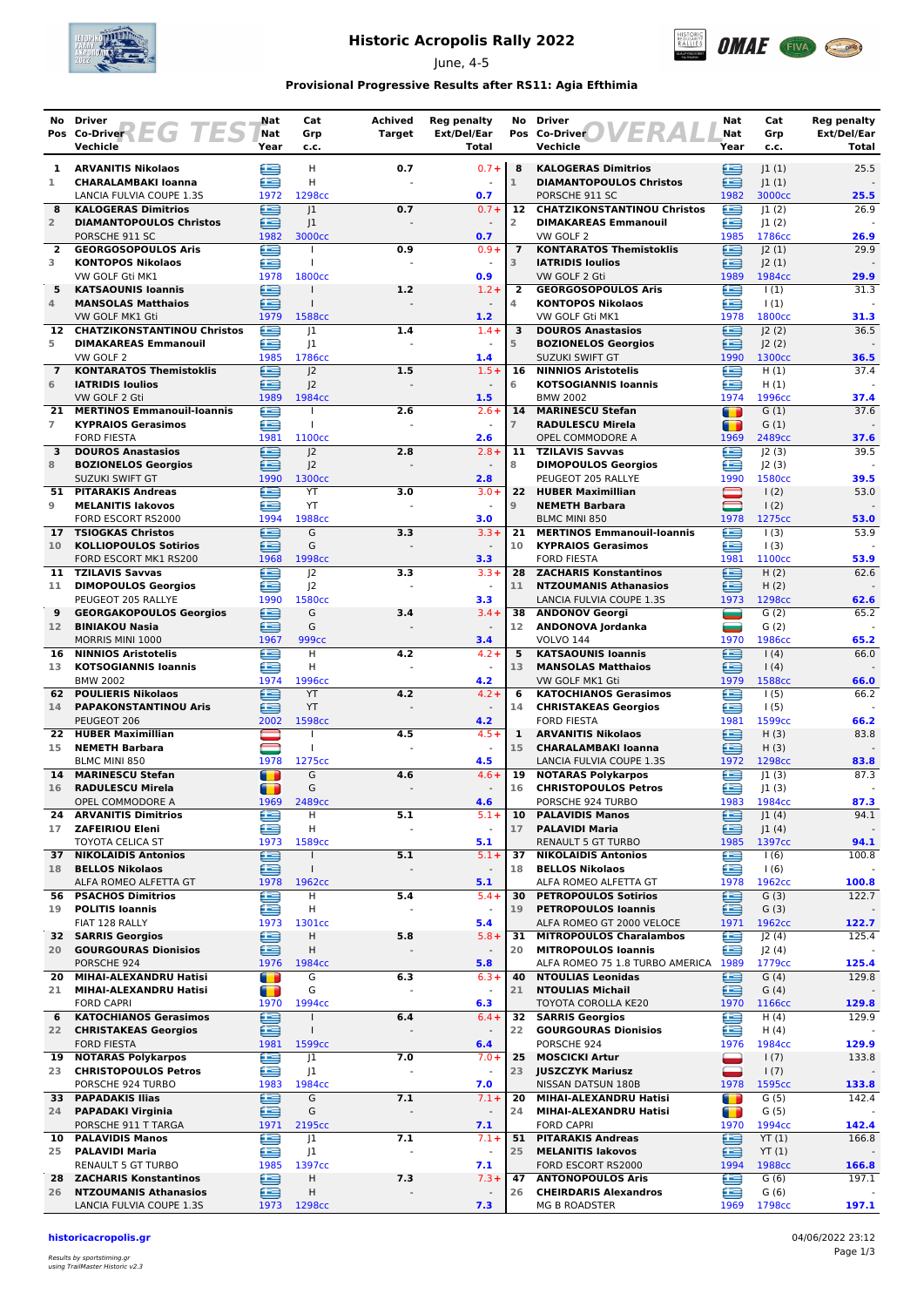

# **Historic Acropolis Rally 2022**

June, 4-5



### **Provisional Progressive Results after RS11: Agia Efthimia**

|                      | No Driver<br>Pos Co-Driver<br>EG I                          | ES | Nat<br>Nat               | Cat<br>Grp                     | Achived<br><b>Target</b> | <b>Reg penalty</b><br>Ext/Del/Ear |                      | No Driver<br>Pos Co-Driver                                  | Nat<br>Nat             | Cat<br>Grp                 | Reg penalty<br>Ext/Del/Ear |
|----------------------|-------------------------------------------------------------|----|--------------------------|--------------------------------|--------------------------|-----------------------------------|----------------------|-------------------------------------------------------------|------------------------|----------------------------|----------------------------|
|                      | Vechicle                                                    |    | Year                     | c.c.                           |                          | Total                             |                      | Vechicle                                                    | Year                   | c.c.                       | Total                      |
| 1                    | <b>ARVANITIS Nikolaos</b>                                   |    | Œ                        | H                              | 0.7                      | $0.7 +$                           | 8                    | <b>KALOGERAS Dimitrios</b>                                  | ⊟                      | 1(1)                       | 25.5                       |
| 1                    | <b>CHARALAMBAKI Ioanna</b><br>LANCIA FULVIA COUPE 1.3S      |    | £<br>1972                | H<br>1298cc                    |                          | 0.7                               | $\mathbf{1}$         | <b>DIAMANTOPOULOS Christos</b><br>PORSCHE 911 SC            | ≘<br>1982              | 1(1) <br>3000cc            | 25.5                       |
| 8                    | <b>KALOGERAS Dimitrios</b>                                  |    | œ                        | 1                              | 0.7                      | $0.7 +$                           | 12                   | <b>CHATZIKONSTANTINOU Christos</b>                          | œ                      | 1(2)                       | 26.9                       |
| $\overline{2}$       | <b>DIAMANTOPOULOS Christos</b>                              |    | œ                        | 1                              |                          |                                   | 2                    | <b>DIMAKAREAS Emmanouil</b>                                 | œ                      | 1(2)                       |                            |
| $\overline{2}$       | PORSCHE 911 SC<br><b>GEORGOSOPOULOS Aris</b>                |    | 1982<br>£                | 3000cc<br>$\overline{1}$       | 0.9                      | 0.7<br>$0.9 +$                    | $\overline{7}$       | VW GOLF 2<br><b>KONTARATOS Themistoklis</b>                 | 1985<br>£              | 1786cc<br>J2(1)            | 26.9<br>29.9               |
| 3                    | <b>KONTOPOS Nikolaos</b>                                    |    | æ                        | T                              |                          | $\sim$                            | 3                    | <b>IATRIDIS Ioulios</b>                                     | œ                      | J2(1)                      |                            |
| 5                    | VW GOLF Gti MK1<br><b>KATSAOUNIS Ioannis</b>                |    | 1978<br>e                | 1800 <sub>cc</sub>             | 1.2                      | 0.9<br>$1.2 +$                    | 2                    | VW GOLF 2 Gti<br><b>GEORGOSOPOULOS Aris</b>                 | 1989<br>⋐              | 1984cc<br>$\vert$ (1)      | 29.9<br>31.3               |
| 4                    | <b>MANSOLAS Matthaios</b>                                   |    | ≘                        | $\mathbf{I}$                   |                          |                                   | 4                    | <b>KONTOPOS Nikolaos</b>                                    | £                      | $\vert$ (1)                |                            |
|                      | VW GOLF MK1 Gti<br><b>CHATZIKONSTANTINOU Christos</b>       |    | 1979<br>£                | 1588cc                         |                          | 1.2                               |                      | VW GOLF Gti MK1<br><b>DOUROS Anastasios</b>                 | 1978<br>£              | 1800cc                     | 31.3                       |
| 12<br>5              | <b>DIMAKAREAS Emmanouil</b>                                 |    | £                        | 1<br> 1                        | 1.4                      | $1.4 +$<br>$\sim$                 | 3<br>5               | <b>BOZIONELOS Georgios</b>                                  | œ                      | J2(2)<br>J2(2)             | 36.5                       |
|                      | VW GOLF 2                                                   |    | 1985                     | 1786cc                         |                          | 1.4                               |                      | <b>SUZUKI SWIFT GT</b>                                      | 1990                   | 1300cc                     | 36.5                       |
| $\overline{7}$<br>6  | <b>KONTARATOS Themistoklis</b><br><b>IATRIDIS Ioulios</b>   |    | ∈<br>æ                   | J <sub>2</sub><br> 2           | 1.5                      | $1.5+$<br>$\blacksquare$          | 16<br>6              | <b>NINNIOS Aristotelis</b><br><b>KOTSOGIANNIS Ioannis</b>   | e<br>œ                 | H(1)<br>H(1)               | 37.4                       |
|                      | VW GOLF 2 Gti                                               |    | 1989                     | 1984cc                         |                          | 1.5                               |                      | <b>BMW 2002</b>                                             | 1974                   | 1996cc                     | 37.4                       |
| 21<br>$\overline{7}$ | <b>MERTINOS Emmanouil-Ioannis</b>                           |    | e<br>æ                   | T                              | 2.6                      | $2.6+$                            | 14<br>$\overline{7}$ | <b>MARINESCU Stefan</b>                                     | т                      | G(1)                       | 37.6                       |
|                      | <b>KYPRAIOS Gerasimos</b><br><b>FORD FIESTA</b>             |    | 1981                     | 1100cc                         |                          | 2.6                               |                      | <b>RADULESCU Mirela</b><br>OPEL COMMODORE A                 | т<br>1969              | G(1)<br>2489cc             | 37.6                       |
| 3                    | <b>DOUROS Anastasios</b>                                    |    | £                        | 2                              | 2.8                      | $2.8 +$                           | 11                   | <b>TZILAVIS Savvas</b>                                      | £                      | J2(3)                      | 39.5                       |
| 8                    | <b>BOZIONELOS Georgios</b><br>SUZUKI SWIFT GT               |    | œ<br>1990                | 2<br>1300 <sub>cc</sub>        |                          | 2.8                               | 8                    | <b>DIMOPOULOS Georgios</b><br>PEUGEOT 205 RALLYE            | œ<br>1990              | J2(3)<br>1580cc            | 39.5                       |
| 51                   | <b>PITARAKIS Andreas</b>                                    |    | £                        | YT                             | 3.0                      | $3.0+$                            | 22                   | <b>HUBER Maximillian</b>                                    |                        | $\frac{1(2)}{2}$           | 53.0                       |
| 9                    | <b>MELANITIS lakovos</b><br>FORD ESCORT RS2000              |    | œ<br>1994                | YT<br>1988 <sub>cc</sub>       |                          | 3.0                               | $\overline{9}$       | <b>NEMETH Barbara</b><br>BLMC MINI 850                      | $\blacksquare$<br>1978 | 1(2)<br>1275cc             | 53.0                       |
| 17 <sub>1</sub>      | <b>TSIOGKAS Christos</b>                                    |    | ⋐                        | G                              | 3.3                      | $3.3 +$                           | 21                   | <b>MERTINOS Emmanouil-Ioannis</b>                           | £                      | 1(3)                       | 53.9                       |
| 10                   | <b>KOLLIOPOULOS Sotirios</b>                                |    | æ                        | G                              |                          |                                   | 10                   | <b>KYPRAIOS Gerasimos</b>                                   | œ                      | $\vert$ (3)                |                            |
| 11                   | FORD ESCORT MK1 RS200<br><b>TZILAVIS Savvas</b>             |    | 1968<br>æ                | 1998cc<br>J <sub>2</sub>       | 3.3                      | 3.3<br>$3.3+$                     |                      | <b>FORD FIESTA</b><br>28 ZACHARIS Konstantinos              | 1981<br>œ              | 1100 <sub>cc</sub><br>H(2) | 53.9<br>62.6               |
| 11                   | <b>DIMOPOULOS Georgios</b>                                  |    | œ                        | J <sub>2</sub>                 |                          | $\sim$                            | 11                   | <b>NTZOUMANIS Athanasios</b>                                | ≘                      | H(2)                       |                            |
| 9                    | PEUGEOT 205 RALLYE<br><b>GEORGAKOPOULOS Georgios</b>        |    | 1990<br>≘                | 1580cc<br>G                    | 3.4                      | 3.3<br>$3.4 +$                    | 38                   | LANCIA FULVIA COUPE 1.3S<br><b>ANDONOV Georgi</b>           | 1973                   | 1298cc<br>G(2)             | 62.6<br>65.2               |
| 12 <sup>2</sup>      | <b>BINIAKOU Nasia</b>                                       |    | £                        | G                              |                          |                                   | 12 <sup>2</sup>      | ANDONOVA Jordanka                                           | $\equiv$               | G(2)                       |                            |
|                      | MORRIS MINI 1000                                            |    | 1967                     | 999cc                          |                          | 3.4                               |                      | <b>VOLVO 144</b>                                            | 1970                   | 1986cc                     | 65.2                       |
| 16<br>13             | <b>NINNIOS Aristotelis</b><br><b>KOTSOGIANNIS Ioannis</b>   |    | e<br>æ                   | H<br>H                         | 4.2                      | $4.2 +$                           | 5<br>13              | <b>KATSAOUNIS loannis</b><br><b>MANSOLAS Matthaios</b>      | ≘<br>œ                 | 1(4)<br>(4)                | 66.0                       |
|                      | <b>BMW 2002</b>                                             |    | 1974                     | 1996cc                         |                          | 4.2                               |                      | VW GOLF MK1 Gti                                             | 1979                   | 1588cc                     | 66.0                       |
| 62<br>14             | <b>POULIERIS Nikolaos</b><br><b>PAPAKONSTANTINOU Aris</b>   |    | £<br>≘                   | YT<br>YT                       | 4.2                      | $4.2 +$<br>$\blacksquare$         | 6<br>14              | <b>KATOCHIANOS Gerasimos</b><br><b>CHRISTAKEAS Georgios</b> | £<br>œ                 | 1(5)<br>1(5)               | 66.2                       |
|                      | PEUGEOT 206                                                 |    | 2002                     | 1598cc                         |                          | 4.2                               |                      | <b>FORD FIESTA</b>                                          | 1981                   | 1599cc                     | 66.2                       |
| 22.                  | <b>HUBER Maximillian</b>                                    |    | $\overline{\phantom{0}}$ | $\mathbf{I}$<br>$\overline{1}$ | 4.5                      | $4.5+$                            | 1                    | <b>ARVANITIS Nikolaos</b>                                   | £                      | H(3)                       | 83.8                       |
| 15                   | <b>NEMETH Barbara</b><br>BLMC MINI 850                      |    | 1978                     | 1275cc                         |                          | 4.5                               | 15                   | <b>CHARALAMBAKI Ioanna</b><br>LANCIA FULVIA COUPE 1.3S      | ≘<br>1972              | H(3)<br>1298cc             | 83.8                       |
| 14                   | <b>MARINESCU Stefan</b>                                     |    | T                        | G                              | 4.6                      | $4.6+$                            | 19                   | <b>NOTARAS Polykarpos</b>                                   | ≘                      | 1(3)                       | 87.3                       |
| 16                   | <b>RADULESCU Mirela</b><br>OPEL COMMODORE A                 |    | m<br>1969                | G<br>2489 <sub>cc</sub>        |                          | $\sim$<br>4.6                     | 16                   | <b>CHRISTOPOULOS Petros</b><br>PORSCHE 924 TURBO            | ⊟<br>1983              | 1(3) <br>1984cc            | 87.3                       |
| 24                   | <b>ARVANITIS Dimitrios</b>                                  |    | e                        | H                              | 5.1                      | $5.1+$                            | 10                   | <b>PALAVIDIS Manos</b>                                      | ⊜                      | J1(4)                      | 94.1                       |
| 17                   | <b>ZAFEIRIOU Eleni</b><br>TOYOTA CELICA ST                  |    | £<br>1973                | н<br>1589cc                    | L.                       | $\blacksquare$<br>5.1             | 17                   | <b>PALAVIDI Maria</b><br><b>RENAULT 5 GT TURBO</b>          | ∈<br>1985              | J1(4)<br>1397cc            | $\sim$<br>94.1             |
| 37                   | <b>NIKOLAIDIS Antonios</b>                                  |    | œ                        | $\mathbf{I}$                   | 5.1                      | $5.1 +$                           | 37                   | <b>NIKOLAIDIS Antonios</b>                                  | œ                      | 1(6)                       | 100.8                      |
| 18                   | <b>BELLOS Nikolaos</b>                                      |    | £                        | $\mathbf{I}$                   | ÷,                       | $\overline{\phantom{a}}$          | 18                   | <b>BELLOS Nikolaos</b>                                      | ≘                      | 1(6)                       |                            |
| 56                   | ALFA ROMEO ALFETTA GT<br><b>PSACHOS Dimitrios</b>           |    | 1978<br>e                | 1962 <sub>cc</sub><br>Н        | 5.4                      | 5.1<br>$5.4 +$                    | 30                   | ALFA ROMEO ALFETTA GT<br><b>PETROPOULOS Sotirios</b>        | 1978<br>≘              | 1962cc<br>G(3)             | 100.8<br>122.7             |
| 19                   | <b>POLITIS Ioannis</b>                                      |    | ఆ                        | Н                              |                          | $\overline{\phantom{a}}$          | 19                   | <b>PETROPOULOS Ioannis</b>                                  | ≘                      | G(3)                       |                            |
|                      | FIAT 128 RALLY<br>32 SARRIS Georgios                        |    | 1973<br>⊟                | 1301cc<br>н                    | 5.8                      | 5.4<br>$5.8 +$                    | 31                   | ALFA ROMEO GT 2000 VELOCE<br><b>MITROPOULOS Charalambos</b> | 1971<br>e              | 1962cc<br>J2(4)            | 122.7<br>125.4             |
| 20                   | <b>GOURGOURAS Dionisios</b>                                 |    | 鱼                        | Η                              |                          | $\overline{\phantom{a}}$          | 20                   | <b>MITROPOULOS Ioannis</b>                                  | £                      | J2(4)                      |                            |
|                      | PORSCHE 924                                                 |    | 1976                     | 1984cc<br>G                    |                          | 5.8                               | 40                   | ALFA ROMEO 75 1.8 TURBO AMERICA<br><b>NTOULIAS Leonidas</b> | 1989<br>≘              | 1779cc                     | 125.4<br>129.8             |
| 20<br>21             | MIHAI-ALEXANDRU Hatisi<br>MIHAI-ALEXANDRU Hatisi            |    | $\blacksquare$<br>n      | G                              | 6.3                      | $6.3+$                            | 21                   | <b>NTOULIAS Michail</b>                                     | œ                      | G(4)<br>G(4)               |                            |
|                      | <b>FORD CAPRI</b>                                           |    | 1970                     | 1994 <sub>cc</sub>             |                          | 6.3                               |                      | TOYOTA COROLLA KE20                                         | 1970                   | 1166cc                     | 129.8                      |
| 6<br>22              | <b>KATOCHIANOS Gerasimos</b><br><b>CHRISTAKEAS Georgios</b> |    | ∈<br>e                   | $\mathbf{I}$                   | 6.4                      | $6.4 +$                           | 32<br>22             | <b>SARRIS Georgios</b><br><b>GOURGOURAS Dionisios</b>       | ≘<br>⋐                 | H(4)<br>H(4)               | 129.9                      |
|                      | <b>FORD FIESTA</b>                                          |    | 1981                     | 1599cc                         |                          | 6.4                               |                      | PORSCHE 924                                                 | 1976                   | 1984cc                     | 129.9                      |
| 23                   | 19 NOTARAS Polykarpos<br><b>CHRISTOPOULOS Petros</b>        |    | €<br>∈                   | J1<br>J1                       | 7.0                      | $7.0+$                            | 25<br>23             | <b>MOSCICKI Artur</b><br><b>JUSZCZYK Mariusz</b>            | =<br>د                 | 1(7)<br>1(7)               | 133.8                      |
|                      | PORSCHE 924 TURBO                                           |    | 1983                     | 1984cc                         |                          | 7.0                               |                      | NISSAN DATSUN 180B                                          | 1978                   | 1595cc                     | 133.8                      |
|                      | 33 PAPADAKIS Ilias                                          |    | ఆ                        | G                              | 7.1                      | $7.1+$                            | 20                   | MIHAI-ALEXANDRU Hatisi                                      | $\blacksquare$         | G(5)                       | 142.4                      |
| 24                   | <b>PAPADAKI Virginia</b><br>PORSCHE 911 T TARGA             |    | ≘<br>1971                | G<br>2195cc                    |                          | 7.1                               | 24                   | MIHAI-ALEXANDRU Hatisi<br><b>FORD CAPRI</b>                 | m<br>1970              | G(5)<br>1994cc             | 142.4                      |
| 10                   | <b>PALAVIDIS Manos</b>                                      |    | Œ                        | J1                             | 7.1                      | $7.1 +$                           | 51                   | <b>PITARAKIS Andreas</b>                                    | ∈                      | YT(1)                      | 166.8                      |
| 25                   | <b>PALAVIDI Maria</b><br>RENAULT 5 GT TURBO                 |    | ∈<br>1985                | J <sub>1</sub><br>1397cc       |                          | $\blacksquare$<br>7.1             | 25                   | <b>MELANITIS lakovos</b><br>FORD ESCORT RS2000              | ⊜<br>1994              | YT(1)<br>1988cc            | 166.8                      |
| 28                   | <b>ZACHARIS Konstantinos</b>                                |    | e                        | H                              | 7.3                      | $7.3+$                            | 47                   | <b>ANTONOPOULOS Aris</b>                                    | €                      | G(6)                       | 197.1                      |
| 26                   | <b>NTZOUMANIS Athanasios</b>                                |    | ⊜                        | Η                              |                          |                                   | 26                   | <b>CHEIRDARIS Alexandros</b>                                | œ                      | G(6)                       |                            |
|                      | LANCIA FULVIA COUPE 1.3S                                    |    | 1973                     | 1298cc                         |                          | 7.3                               |                      | <b>MG B ROADSTER</b>                                        | 1969                   | 1798cc                     | 197.1                      |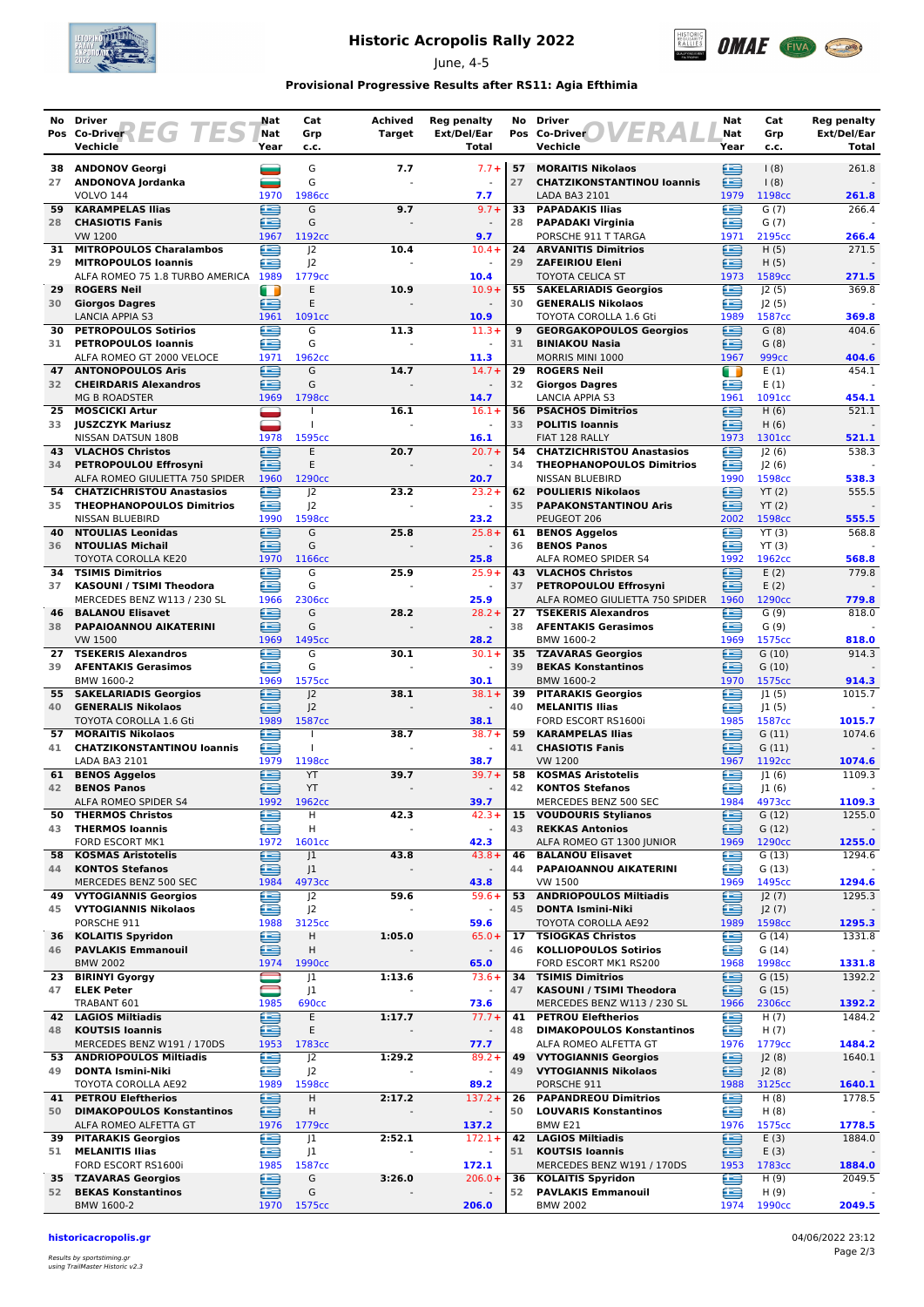

# **Historic Acropolis Rally 2022**

June, 4-5



### **Provisional Progressive Results after RS11: Agia Efthimia**

|          | No Driver                                                            | Nat         | Cat                      | Achived | <b>Reg penalty</b>        | No       | <b>Driver</b>                                                 | Nat         | Cat                       | <b>Reg penalty</b>   |
|----------|----------------------------------------------------------------------|-------------|--------------------------|---------|---------------------------|----------|---------------------------------------------------------------|-------------|---------------------------|----------------------|
|          | ES<br>Pos Co-Driver<br>EG<br>Vechicle                                | Nat<br>Year | Grp<br>c.c.              | Target  | Ext/Del/Ear<br>Total      |          | Pos Co-Driver<br>Vechicle                                     | Nat<br>Year | Grp<br>c.c.               | Ext/Del/Ear<br>Total |
|          |                                                                      |             |                          |         |                           |          |                                                               |             |                           |                      |
| 38<br>27 | <b>ANDONOV Georgi</b><br>ANDONOVA Jordanka                           |             | G<br>G                   | 7.7     | $7.7 +$                   | 57<br>27 | <b>MORAITIS Nikolaos</b><br><b>CHATZIKONSTANTINOU loannis</b> | ≘<br>£      | (8)<br>(8)                | 261.8                |
|          | <b>VOLVO 144</b>                                                     | 1970        | 1986cc                   |         | 7.7                       |          | LADA BA3 2101                                                 | 1979        | 1198cc                    | 261.8                |
| 59       | <b>KARAMPELAS Ilias</b>                                              | ∈           | G                        | 9.7     | $9.7 +$                   | 33       | <b>PAPADAKIS Ilias</b>                                        | £           | G(7)                      | 266.4                |
| 28       | <b>CHASIOTIS Fanis</b><br><b>VW 1200</b>                             | ≘<br>1967   | G<br>1192cc              |         | 9.7                       | 28       | <b>PAPADAKI Virginia</b><br>PORSCHE 911 T TARGA               | £<br>1971   | G(7)<br>2195cc            | 266.4                |
| 31       | <b>MITROPOULOS Charalambos</b>                                       | œ           | J <sub>2</sub>           | 10.4    | $10.4 +$                  | 24       | <b>ARVANITIS Dimitrios</b>                                    | e           | H(5)                      | 271.5                |
| 29       | <b>MITROPOULOS Ioannis</b>                                           | æ           | J <sub>2</sub>           |         | $\frac{1}{2}$             | 29       | <b>ZAFEIRIOU Eleni</b>                                        | œ           | H(5)                      |                      |
|          | ALFA ROMEO 75 1.8 TURBO AMERICA 1989                                 |             | 1779cc                   |         | 10.4                      |          | <b>TOYOTA CELICA ST</b>                                       | 1973        | 1589cc                    | 271.5                |
| 29<br>30 | <b>ROGERS Neil</b><br><b>Giorgos Dagres</b>                          | m<br>⋐      | E<br>E                   | 10.9    | $10.9+$                   | 55<br>30 | <b>SAKELARIADIS Georgios</b><br><b>GENERALIS Nikolaos</b>     | ⋐<br>≘      | J2(5)<br>J2(5)            | 369.8                |
|          | <b>LANCIA APPIA S3</b>                                               | 1961        | 1091cc                   |         | 10.9                      |          | TOYOTA COROLLA 1.6 Gti                                        | 1989        | 1587cc                    | 369.8                |
| 30       | <b>PETROPOULOS Sotirios</b>                                          | æ           | G                        | 11.3    | $11.3+$                   | 9        | <b>GEORGAKOPOULOS Georgios</b>                                | æ           | G(8)                      | 404.6                |
| 31       | <b>PETROPOULOS Ioannis</b>                                           | £           | G                        |         | ÷                         | 31       | <b>BINIAKOU Nasia</b>                                         | £           | G(8)                      |                      |
| 47       | ALFA ROMEO GT 2000 VELOCE<br><b>ANTONOPOULOS Aris</b>                | 1971<br>œ   | 1962cc<br>G              | 14.7    | 11.3<br>$14.7 +$          | 29       | MORRIS MINI 1000<br><b>ROGERS Neil</b>                        | 1967<br>n   | 999 <sub>cc</sub><br>E(1) | 404.6<br>454.1       |
| 32       | <b>CHEIRDARIS Alexandros</b>                                         | £           | G                        |         |                           | 32       | <b>Giorgos Dagres</b>                                         | œ           | E(1)                      |                      |
|          | <b>MG B ROADSTER</b>                                                 | 1969        | 1798cc                   |         | 14.7                      |          | <b>LANCIA APPIA S3</b>                                        | 1961        | 1091cc                    | 454.1                |
| 25       | <b>MOSCICKI Artur</b>                                                |             |                          | 16.1    | $16.1+$                   | 56       | <b>PSACHOS Dimitrios</b>                                      | ≘           | H(6)                      | 521.1                |
| 33       | <b>JUSZCZYK Mariusz</b><br>NISSAN DATSUN 180B                        | 1978        | $\mathbf{I}$<br>1595cc   |         | 16.1                      | 33       | <b>POLITIS Ioannis</b><br>FIAT 128 RALLY                      | œ<br>1973   | H(6)<br>1301cc            | 521.1                |
| 43       | <b>VLACHOS Christos</b>                                              | £           | E                        | 20.7    | $20.7 +$                  | 54       | <b>CHATZICHRISTOU Anastasios</b>                              | æ           | J2(6)                     | 538.3                |
| 34       | PETROPOULOU Effrosyni                                                | £           | E                        |         |                           | 34       | <b>THEOPHANOPOULOS Dimitrios</b>                              | œ           | 2(6)                      |                      |
|          | ALFA ROMEO GIULIETTA 750 SPIDER                                      | 1960        | 1290 <sub>cc</sub>       |         | 20.7                      |          | NISSAN BLUEBIRD                                               | 1990        | 1598cc                    | 538.3                |
| 54<br>35 | <b>CHATZICHRISTOU Anastasios</b><br><b>THEOPHANOPOULOS Dimitrios</b> | ≘<br>€      | J <sub>2</sub>           | 23.2    | $23.2 +$                  | 62<br>35 | <b>POULIERIS Nikolaos</b>                                     | œ<br>£      | YT(2)                     | 555.5                |
|          | <b>NISSAN BLUEBIRD</b>                                               | 1990        | J2<br>1598cc             |         | 23.2                      |          | <b>PAPAKONSTANTINOU Aris</b><br>PEUGEOT 206                   | 2002        | YT(2)<br>1598cc           | 555.5                |
| 40       | <b>NTOULIAS Leonidas</b>                                             | ⋐           | G                        | 25.8    | $25.8+$                   | 61       | <b>BENOS Aggelos</b>                                          | £           | YT(3)                     | 568.8                |
| 36       | <b>NTOULIAS Michail</b>                                              | £           | G                        |         |                           | 36       | <b>BENOS Panos</b>                                            | œ           | YT(3)                     |                      |
|          | TOYOTA COROLLA KE20                                                  | 1970<br>æ   | 1166cc                   |         | 25.8                      |          | ALFA ROMEO SPIDER S4                                          | 1992<br>œ   | 1962cc                    | 568.8                |
| 34<br>37 | <b>TSIMIS Dimitrios</b><br>KASOUNI / TSIMI Theodora                  | £           | G<br>G                   | 25.9    | $25.9+$                   | 37       | <b>43 VLACHOS Christos</b><br>PETROPOULOU Effrosyni           | £           | E(2)<br>E(2)              | 779.8                |
|          | MERCEDES BENZ W113 / 230 SL                                          | 1966        | 2306cc                   |         | 25.9                      |          | ALFA ROMEO GIULIETTA 750 SPIDER                               | 1960        | 1290cc                    | 779.8                |
| 46       | <b>BALANOU Elisavet</b>                                              | ≘           | G                        | 28.2    | $28.2 +$                  | 27       | <b>TSEKERIS Alexandros</b>                                    | £           | G(9)                      | 818.0                |
| 38       | PAPAIOANNOU AIKATERINI                                               | ∈           | G                        |         |                           | 38       | <b>AFENTAKIS Gerasimos</b>                                    | œ           | G(9)                      |                      |
| 27       | <b>VW 1500</b><br><b>TSEKERIS Alexandros</b>                         | 1969<br>e   | 1495cc<br>G              | 30.1    | 28.2<br>$30.1 +$          | 35       | BMW 1600-2<br><b>TZAVARAS Georgios</b>                        | 1969<br>∈   | 1575cc<br>G(10)           | 818.0<br>914.3       |
| 39       | <b>AFENTAKIS Gerasimos</b>                                           | æ           | G                        |         |                           | 39       | <b>BEKAS Konstantinos</b>                                     | œ           | G(10)                     |                      |
|          | BMW 1600-2                                                           | 1969        | 1575cc                   |         | 30.1                      |          | BMW 1600-2                                                    | 1970        | 1575cc                    | 914.3                |
| 55       | <b>SAKELARIADIS Georgios</b>                                         | €           | J <sub>2</sub>           | 38.1    | $38.1 +$                  | 39       | <b>PITARAKIS Georgios</b>                                     | œ           | 1(5)                      | 1015.7               |
| 40       | <b>GENERALIS Nikolaos</b><br>TOYOTA COROLLA 1.6 Gti                  | ≘<br>1989   | J <sub>2</sub><br>1587cc |         | $\overline{a}$<br>38.1    | 40       | <b>MELANITIS Ilias</b><br>FORD ESCORT RS1600i                 | œ<br>1985   | 1(5) <br>1587cc           | 1015.7               |
| 57       | <b>MORAITIS Nikolaos</b>                                             | £           | $\mathbf{I}$             | 38.7    | $38.7 +$                  | 59       | <b>KARAMPELAS Ilias</b>                                       | £           | G(11)                     | 1074.6               |
| 41       | <b>CHATZIKONSTANTINOU loannis</b>                                    | £           | T                        |         |                           | 41       | <b>CHASIOTIS Fanis</b>                                        | £           | G(11)                     |                      |
|          | LADA BA3 2101                                                        | 1979        | 1198cc                   |         | 38.7                      |          | <b>VW 1200</b>                                                | 1967        | 1192cc                    | 1074.6               |
| 61<br>42 | <b>BENOS Aggelos</b><br><b>BENOS Panos</b>                           | ≘<br>£      | YT<br>YT                 | 39.7    | $39.7 +$                  | 58<br>42 | <b>KOSMAS Aristotelis</b><br><b>KONTOS Stefanos</b>           | £<br>≘      | 1(6) <br> 1(6)            | 1109.3               |
|          | ALFA ROMEO SPIDER S4                                                 | 1992        | 1962cc                   |         | 39.7                      |          | MERCEDES BENZ 500 SEC                                         | 1984        | 4973cc                    | 1109.3               |
| 50       | <b>THERMOS Christos</b>                                              | ⊜           | H                        | 42.3    | $42.3+$                   | 15       | <b>VOUDOURIS Stylianos</b>                                    | ≘           | G(12)                     | 1255.0               |
| 43       | <b>THERMOS Ioannis</b>                                               | £           | н                        |         | $\frac{1}{2}$             | 43       | <b>REKKAS Antonios</b>                                        | ≘           | G(12)                     |                      |
| 58       | FORD ESCORT MK1<br><b>KOSMAS Aristotelis</b>                         | 1972<br>œ   | 1601cc<br>J <sub>1</sub> | 43.8    | 42.3<br>$43.8+$           | 46       | ALFA ROMEO GT 1300 JUNIOR<br><b>BALANOU Elisavet</b>          | 1969<br>£   | 1290cc<br>G(13)           | 1255.0<br>1294.6     |
| 44       | <b>KONTOS Stefanos</b>                                               | ≘           | J <sub>1</sub>           |         |                           | 44       | PAPAIOANNOU AIKATERINI                                        | ≘           | G(13)                     |                      |
|          | MERCEDES BENZ 500 SEC                                                | 1984        | 4973cc                   |         | 43.8                      |          | VW 1500                                                       | 1969        | 1495cc                    | 1294.6               |
| 49<br>45 | <b>VYTOGIANNIS Georgios</b><br><b>VYTOGIANNIS Nikolaos</b>           | e<br>∈      | J <sup>2</sup>           | 59.6    | $59.6+$<br>$\blacksquare$ | 53<br>45 | <b>ANDRIOPOULOS Miltiadis</b><br><b>DONTA Ismini-Niki</b>     | ≘           | J2(7)<br>J2(7)            | 1295.3               |
|          | PORSCHE 911                                                          | 1988        | J2<br>3125cc             |         | 59.6                      |          | TOYOTA COROLLA AE92                                           | ≘<br>1989   | 1598cc                    | 1295.3               |
| 36       | <b>KOLAITIS Spyridon</b>                                             | e           | Н                        | 1:05.0  | $65.0+$                   | 17       | <b>TSIOGKAS Christos</b>                                      | œ           | G(14)                     | 1331.8               |
| 46       | <b>PAVLAKIS Emmanouil</b>                                            | ∈           | Н                        |         | $\blacksquare$            | 46       | <b>KOLLIOPOULOS Sotirios</b>                                  | œ           | G(14)                     |                      |
|          | <b>BMW 2002</b>                                                      | 1974        | 1990 <sub>cc</sub>       |         | 65.0                      |          | FORD ESCORT MK1 RS200                                         | 1968        | 1998cc                    | 1331.8               |
| 23<br>47 | <b>BIRINYI Gyorgy</b><br><b>ELEK Peter</b>                           |             | J1<br>J <sub>1</sub>     | 1:13.6  | $73.6+$                   | 34<br>47 | <b>TSIMIS Dimitrios</b><br>KASOUNI / TSIMI Theodora           | £<br>≘      | G(15)<br>G(15)            | 1392.2               |
|          | TRABANT 601                                                          | 1985        | <b>690cc</b>             |         | 73.6                      |          | MERCEDES BENZ W113 / 230 SL                                   | 1966        | 2306cc                    | 1392.2               |
| 42       | <b>LAGIOS Miltiadis</b>                                              | ఆ           | Ε                        | 1:17.7  | $77.7+$                   | 41       | <b>PETROU Eleftherios</b>                                     | œ           | H (7)                     | 1484.2               |
| 48       | <b>KOUTSIS Ioannis</b>                                               | e           | Ε                        |         |                           | 48       | <b>DIMAKOPOULOS Konstantinos</b>                              | œ           | H (7)                     |                      |
|          | MERCEDES BENZ W191 / 170DS<br>53 ANDRIOPOULOS Miltiadis              | 1953<br>e   | 1783cc<br>J2             | 1:29.2  | 77.7<br>$89.2 +$          | 49       | ALFA ROMEO ALFETTA GT<br><b>VYTOGIANNIS Georgios</b>          | 1976<br>鱼   | 1779cc<br>J2(8)           | 1484.2<br>1640.1     |
| 49       | <b>DONTA Ismini-Niki</b>                                             | ⊜           | J <sub>2</sub>           |         |                           | 49       | <b>VYTOGIANNIS Nikolaos</b>                                   | ⊜           | J2(8)                     |                      |
|          | TOYOTA COROLLA AE92                                                  | 1989        | 1598cc                   |         | 89.2                      |          | PORSCHE 911                                                   | 1988        | 3125cc                    | 1640.1               |
|          | 41 PETROU Eleftherios                                                | e           | Н                        | 2:17.2  | $137.2+$                  | 26       | <b>PAPANDREOU Dimitrios</b>                                   | £           | H(8)                      | 1778.5               |
| 50       | <b>DIMAKOPOULOS Konstantinos</b><br>ALFA ROMEO ALFETTA GT            | ≘<br>1976   | Н<br>1779 <sub>cc</sub>  |         | 137.2                     | 50       | <b>LOUVARIS Konstantinos</b><br>BMW E21                       | œ<br>1976   | H(8)<br>1575cc            | 1778.5               |
| 39       | <b>PITARAKIS Georgios</b>                                            | e           | J1                       | 2:52.1  | $172.1+$                  | 42       | <b>LAGIOS Miltiadis</b>                                       | ⊟           | E(3)                      | 1884.0               |
| 51       | <b>MELANITIS Ilias</b>                                               | ⋐           | J1                       |         | $\blacksquare$            | 51       | <b>KOUTSIS loannis</b>                                        | ∈           | E(3)                      |                      |
|          | FORD ESCORT RS1600i                                                  | 1985        | 1587cc                   |         | 172.1                     |          | MERCEDES BENZ W191 / 170DS                                    | 1953<br>€   | 1783cc                    | 1884.0               |
| 52       | <b>35 TZAVARAS Georgios</b><br><b>BEKAS Konstantinos</b>             | ⊜<br>œ      | G<br>G                   | 3:26.0  | $206.0+$                  | 36<br>52 | <b>KOLAITIS Spyridon</b><br><b>PAVLAKIS Emmanouil</b>         | e           | H(9)<br>H (9)             | 2049.5               |
|          | BMW 1600-2                                                           |             | 1970 1575cc              |         | 206.0                     |          | <b>BMW 2002</b>                                               | 1974        | 1990 <sub>cc</sub>        | 2049.5               |

#### **historicacropolis.gr** 04/06/2022 23:12

Results by sportstiming.gr using TrailMaster Historic v2.3